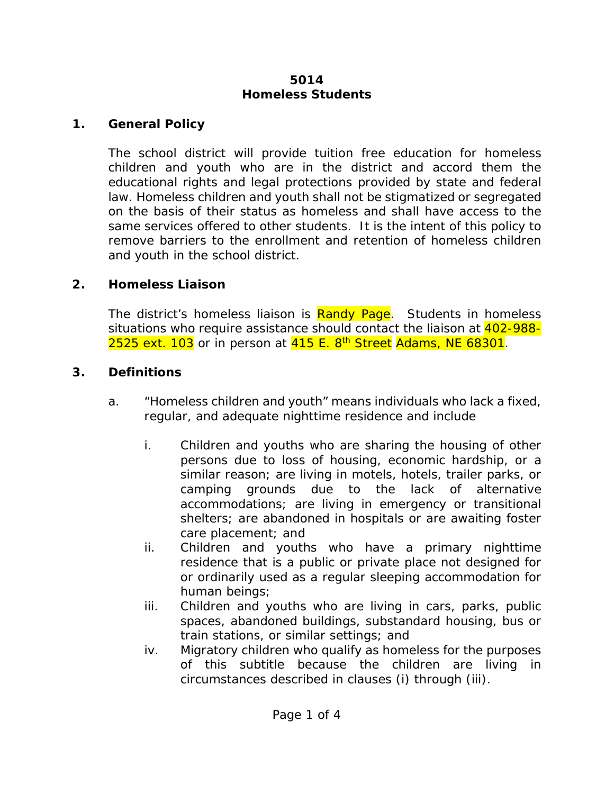#### **5014 Homeless Students**

### **1. General Policy**

The school district will provide tuition free education for homeless children and youth who are in the district and accord them the educational rights and legal protections provided by state and federal law. Homeless children and youth shall not be stigmatized or segregated on the basis of their status as homeless and shall have access to the same services offered to other students. It is the intent of this policy to remove barriers to the enrollment and retention of homeless children and youth in the school district.

## **2. Homeless Liaison**

The district's homeless liaison is Randy Page. Students in homeless situations who require assistance should contact the liaison at 402-988-2525 ext. 103 or in person at 415 E. 8<sup>th</sup> Street Adams, NE 68301.

# **3. Definitions**

- a. "Homeless children and youth" means individuals who lack a fixed, regular, and adequate nighttime residence and include
	- i. Children and youths who are sharing the housing of other persons due to loss of housing, economic hardship, or a similar reason; are living in motels, hotels, trailer parks, or camping grounds due to the lack of alternative accommodations; are living in emergency or transitional shelters; are abandoned in hospitals or are awaiting foster care placement; and
	- ii. Children and youths who have a primary nighttime residence that is a public or private place not designed for or ordinarily used as a regular sleeping accommodation for human beings;
	- iii. Children and youths who are living in cars, parks, public spaces, abandoned buildings, substandard housing, bus or train stations, or similar settings; and
	- iv. Migratory children who qualify as homeless for the purposes of this subtitle because the children are living in circumstances described in clauses (i) through (iii).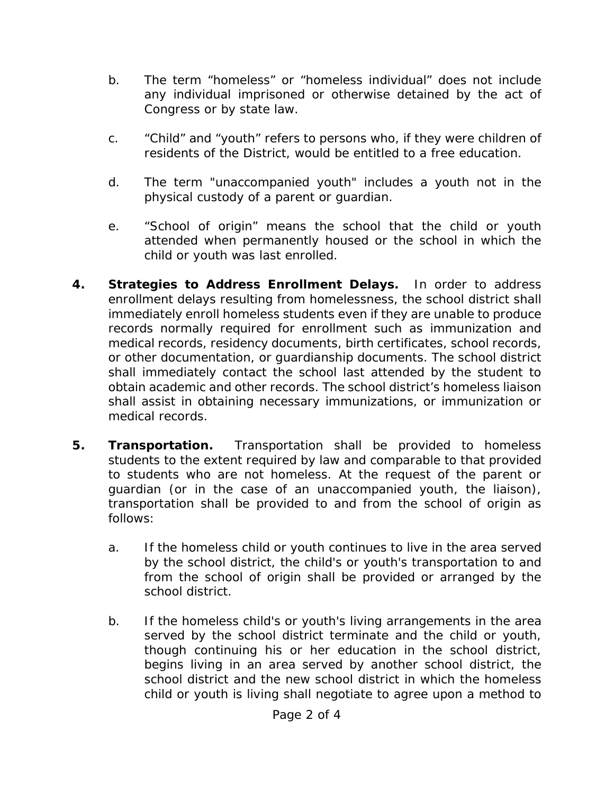- b. The term "homeless" or "homeless individual" does not include any individual imprisoned or otherwise detained by the act of Congress or by state law.
- c. "Child" and "youth" refers to persons who, if they were children of residents of the District, would be entitled to a free education.
- d. The term "unaccompanied youth" includes a youth not in the physical custody of a parent or guardian.
- e. "School of origin" means the school that the child or youth attended when permanently housed or the school in which the child or youth was last enrolled.
- **4. Strategies to Address Enrollment Delays.** In order to address enrollment delays resulting from homelessness, the school district shall immediately enroll homeless students even if they are unable to produce records normally required for enrollment such as immunization and medical records, residency documents, birth certificates, school records, or other documentation, or guardianship documents. The school district shall immediately contact the school last attended by the student to obtain academic and other records. The school district's homeless liaison shall assist in obtaining necessary immunizations, or immunization or medical records.
- **5. Transportation.** Transportation shall be provided to homeless students to the extent required by law and comparable to that provided to students who are not homeless. At the request of the parent or guardian (or in the case of an unaccompanied youth, the liaison), transportation shall be provided to and from the school of origin as follows:
	- a. If the homeless child or youth continues to live in the area served by the school district, the child's or youth's transportation to and from the school of origin shall be provided or arranged by the school district.
	- b. If the homeless child's or youth's living arrangements in the area served by the school district terminate and the child or youth, though continuing his or her education in the school district, begins living in an area served by another school district, the school district and the new school district in which the homeless child or youth is living shall negotiate to agree upon a method to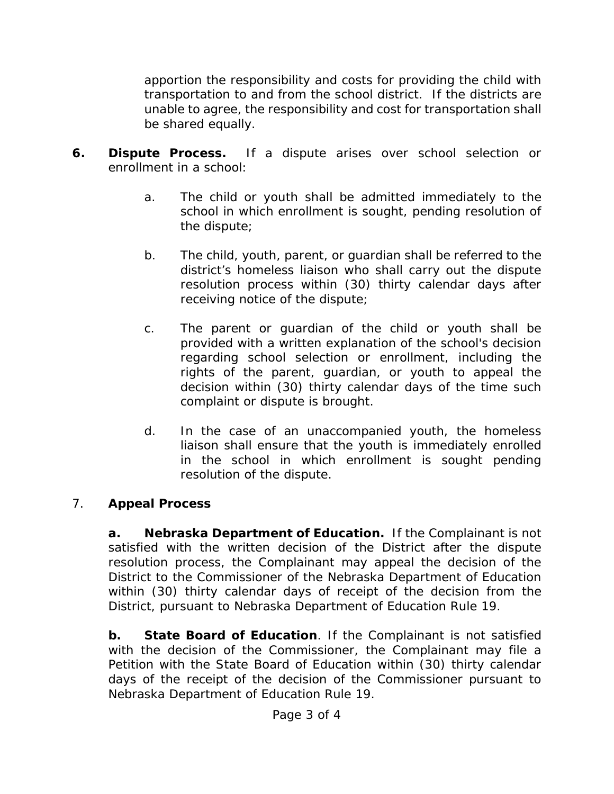apportion the responsibility and costs for providing the child with transportation to and from the school district. If the districts are unable to agree, the responsibility and cost for transportation shall be shared equally.

- **6. Dispute Process.** If a dispute arises over school selection or enrollment in a school:
	- a. The child or youth shall be admitted immediately to the school in which enrollment is sought, pending resolution of the dispute;
	- b. The child, youth, parent, or guardian shall be referred to the district's homeless liaison who shall carry out the dispute resolution process within (30) thirty calendar days after receiving notice of the dispute;
	- c. The parent or guardian of the child or youth shall be provided with a written explanation of the school's decision regarding school selection or enrollment, including the rights of the parent, guardian, or youth to appeal the decision within (30) thirty calendar days of the time such complaint or dispute is brought.
	- d. In the case of an unaccompanied youth, the homeless liaison shall ensure that the youth is immediately enrolled in the school in which enrollment is sought pending resolution of the dispute.

# 7. **Appeal Process**

**a. Nebraska Department of Education.** If the Complainant is not satisfied with the written decision of the District after the dispute resolution process, the Complainant may appeal the decision of the District to the Commissioner of the Nebraska Department of Education within (30) thirty calendar days of receipt of the decision from the District, pursuant to Nebraska Department of Education Rule 19.

**b. State Board of Education**. If the Complainant is not satisfied with the decision of the Commissioner, the Complainant may file a Petition with the State Board of Education within (30) thirty calendar days of the receipt of the decision of the Commissioner pursuant to Nebraska Department of Education Rule 19.